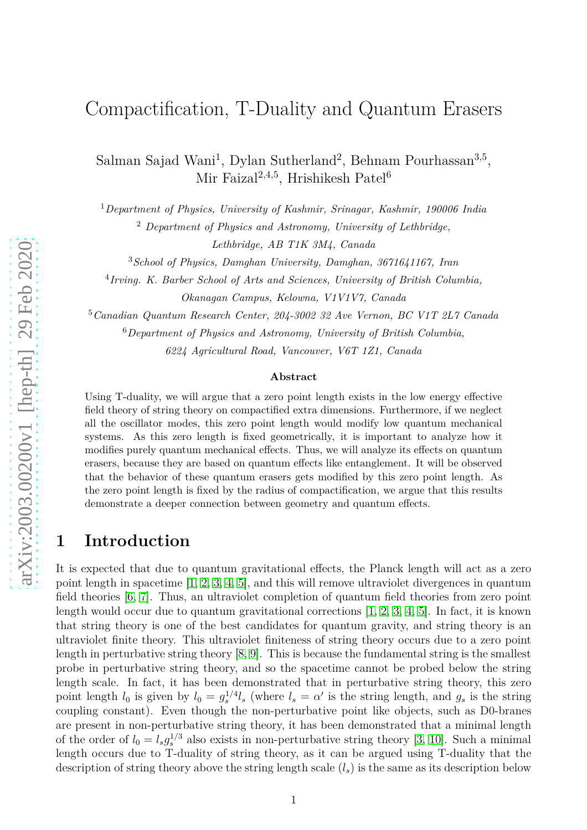Salman Sajad Wani<sup>1</sup>, Dylan Sutherland<sup>2</sup>, Behnam Pourhassan<sup>3,5</sup>, Mir Faizal<sup>2,4,5</sup>, Hrishikesh Patel<sup>6</sup>

<sup>1</sup>*Department of Physics, University of Kashmir, Srinagar, Kashmir, 190006 India*

<sup>2</sup> *Department of Physics and Astronomy, University of Lethbridge,*

*Lethbridge, AB T1K 3M4, Canada*

<sup>3</sup>*School of Physics, Damghan University, Damghan, 3671641167, Iran*

4 *Irving. K. Barber School of Arts and Sciences, University of British Columbia, Okanagan Campus, Kelowna, V1V1V7, Canada*

<sup>5</sup>*Canadian Quantum Research Center, 204-3002 32 Ave Vernon, BC V1T 2L7 Canada*

<sup>6</sup>*Department of Physics and Astronomy, University of British Columbia,*

*6224 Agricultural Road, Vancouver, V6T 1Z1, Canada*

#### **Abstract**

Using T-duality, we will argue that a zero point length exists in the low energy effective field theory of string theory on compactified extra dimensions. Furthermore, if we neglect all the oscillator modes, this zero point length would modify low quantum mechanical systems. As this zero length is fixed geometrically, it is important to analyze how it modifies purely quantum mechanical effects. Thus, we will analyze its effects on quantum erasers, because they are based on quantum effects like entanglement. It will be observed that the behavior of these quantum erasers gets modified by this zero point length. As the zero point length is fixed by the radius of compactification, we argue that this results demonstrate a deeper connection between geometry and quantum effects.

## **1 Introduction**

It is expected that due to quantum gravitational effects, the Planck length will act as a zero point length in spacetime [\[1,](#page-11-0) [2,](#page-11-1) [3,](#page-11-2) [4,](#page-11-3) [5\]](#page-11-4), and this will remove ultraviolet divergences in quantum field theories [\[6,](#page-11-5) [7\]](#page-11-6). Thus, an ultraviolet completion of quantum field theories from zero point length would occur due to quantum gravitational corrections [\[1,](#page-11-0) [2,](#page-11-1) [3,](#page-11-2) [4,](#page-11-3) [5\]](#page-11-4). In fact, it is known that string theory is one of the best candidates for quantum gravity, and string theory is an ultraviolet finite theory. This ultraviolet finiteness of string theory occurs due to a zero point length in perturbative string theory [\[8,](#page-11-7) [9\]](#page-11-8). This is because the fundamental string is the smallest probe in perturbative string theory, and so the spacetime cannot be probed below the string length scale. In fact, it has been demonstrated that in perturbative string theory, this zero point length  $l_0$  is given by  $l_0 = g_s^{1/4}l_s$  (where  $l_s = \alpha'$  is the string length, and  $g_s$  is the string coupling constant). Even though the non-perturbative point like objects, such as D0-branes are present in non-perturbative string theory, it has been demonstrated that a minimal length of the order of  $l_0 = l_s g_s^{1/3}$  also exists in non-perturbative string theory [\[3,](#page-11-2) [10\]](#page-11-9). Such a minimal length occurs due to T-duality of string theory, as it can be argued using T-duality that the description of string theory above the string length scale  $(l_s)$  is the same as its description below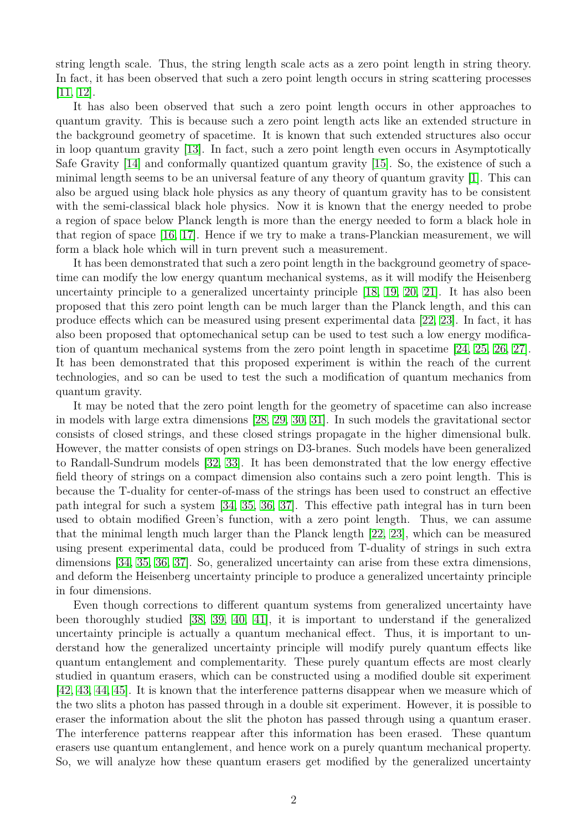string length scale. Thus, the string length scale acts as a zero point length in string theory. In fact, it has been observed that such a zero point length occurs in string scattering processes [\[11,](#page-11-10) [12\]](#page-11-11).

It has also been observed that such a zero point length occurs in other approaches to quantum gravity. This is because such a zero point length acts like an extended structure in the background geometry of spacetime. It is known that such extended structures also occur in loop quantum gravity [\[13\]](#page-11-12). In fact, such a zero point length even occurs in Asymptotically Safe Gravity [\[14\]](#page-11-13) and conformally quantized quantum gravity [\[15\]](#page-11-14). So, the existence of such a minimal length seems to be an universal feature of any theory of quantum gravity [\[1\]](#page-11-0). This can also be argued using black hole physics as any theory of quantum gravity has to be consistent with the semi-classical black hole physics. Now it is known that the energy needed to probe a region of space below Planck length is more than the energy needed to form a black hole in that region of space [\[16,](#page-11-15) [17\]](#page-12-0). Hence if we try to make a trans-Planckian measurement, we will form a black hole which will in turn prevent such a measurement.

It has been demonstrated that such a zero point length in the background geometry of spacetime can modify the low energy quantum mechanical systems, as it will modify the Heisenberg uncertainty principle to a generalized uncertainty principle [\[18,](#page-12-1) [19,](#page-12-2) [20,](#page-12-3) [21\]](#page-12-4). It has also been proposed that this zero point length can be much larger than the Planck length, and this can produce effects which can be measured using present experimental data [\[22,](#page-12-5) [23\]](#page-12-6). In fact, it has also been proposed that optomechanical setup can be used to test such a low energy modification of quantum mechanical systems from the zero point length in spacetime [\[24,](#page-12-7) [25,](#page-12-8) [26,](#page-12-9) [27\]](#page-12-10). It has been demonstrated that this proposed experiment is within the reach of the current technologies, and so can be used to test the such a modification of quantum mechanics from quantum gravity.

It may be noted that the zero point length for the geometry of spacetime can also increase in models with large extra dimensions [\[28,](#page-12-11) [29,](#page-12-12) [30,](#page-12-13) [31\]](#page-12-14). In such models the gravitational sector consists of closed strings, and these closed strings propagate in the higher dimensional bulk. However, the matter consists of open strings on D3-branes. Such models have been generalized to Randall-Sundrum models [\[32,](#page-12-15) [33\]](#page-12-16). It has been demonstrated that the low energy effective field theory of strings on a compact dimension also contains such a zero point length. This is because the T-duality for center-of-mass of the strings has been used to construct an effective path integral for such a system [\[34,](#page-12-17) [35,](#page-12-18) [36,](#page-12-19) [37\]](#page-12-20). This effective path integral has in turn been used to obtain modified Green's function, with a zero point length. Thus, we can assume that the minimal length much larger than the Planck length [\[22,](#page-12-5) [23\]](#page-12-6), which can be measured using present experimental data, could be produced from T-duality of strings in such extra dimensions [\[34,](#page-12-17) [35,](#page-12-18) [36,](#page-12-19) [37\]](#page-12-20). So, generalized uncertainty can arise from these extra dimensions, and deform the Heisenberg uncertainty principle to produce a generalized uncertainty principle in four dimensions.

Even though corrections to different quantum systems from generalized uncertainty have been thoroughly studied [\[38,](#page-12-21) [39,](#page-12-22) [40,](#page-12-23) [41\]](#page-12-24), it is important to understand if the generalized uncertainty principle is actually a quantum mechanical effect. Thus, it is important to understand how the generalized uncertainty principle will modify purely quantum effects like quantum entanglement and complementarity. These purely quantum effects are most clearly studied in quantum erasers, which can be constructed using a modified double sit experiment [\[42,](#page-12-25) [43,](#page-12-26) [44,](#page-13-0) [45\]](#page-13-1). It is known that the interference patterns disappear when we measure which of the two slits a photon has passed through in a double sit experiment. However, it is possible to eraser the information about the slit the photon has passed through using a quantum eraser. The interference patterns reappear after this information has been erased. These quantum erasers use quantum entanglement, and hence work on a purely quantum mechanical property. So, we will analyze how these quantum erasers get modified by the generalized uncertainty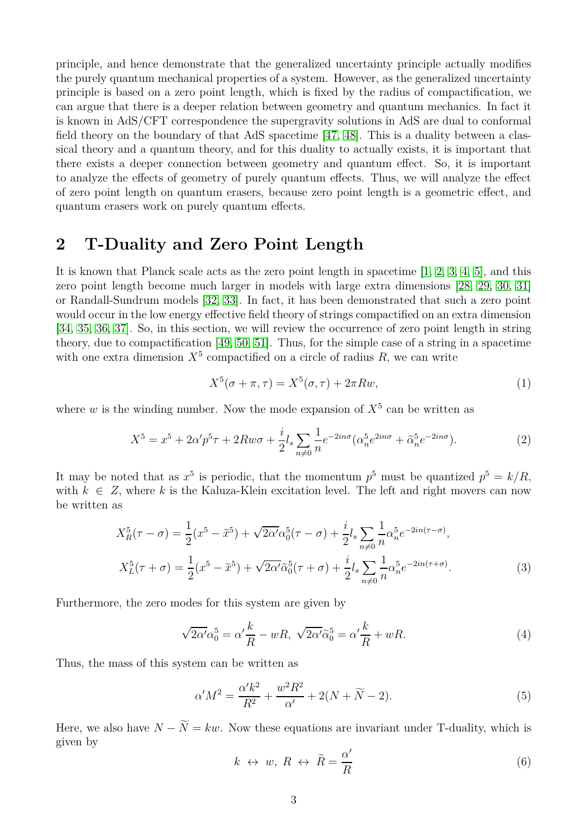principle, and hence demonstrate that the generalized uncertainty principle actually modifies the purely quantum mechanical properties of a system. However, as the generalized uncertainty principle is based on a zero point length, which is fixed by the radius of compactification, we can argue that there is a deeper relation between geometry and quantum mechanics. In fact it is known in AdS/CFT correspondence the supergravity solutions in AdS are dual to conformal field theory on the boundary of that AdS spacetime [47, 48]. This is a duality between a classical theory and a quantum theory, and for this duality to actually exists, it is important that there exists a deeper connection between geometry and quantum effect. So, it is important to analyze the effects of geometry of purely quantum effects. Thus, we will analyze the effect of zero point length on quantum erasers, because zero point length is a geometric effect, and quantum erasers work on purely quantum effects.

#### **2 T-Duality and Zero Point Length**

It is known that Planck scale acts as the zero point length in spacetime [\[1,](#page-11-0) [2,](#page-11-1) [3,](#page-11-2) [4,](#page-11-3) [5\]](#page-11-4), and this zero point length become much larger in models with large extra dimensions [\[28,](#page-12-11) [29,](#page-12-12) [30,](#page-12-13) [31\]](#page-12-14) or Randall-Sundrum models [\[32,](#page-12-15) [33\]](#page-12-16). In fact, it has been demonstrated that such a zero point would occur in the low energy effective field theory of strings compactified on an extra dimension [\[34,](#page-12-17) [35,](#page-12-18) [36,](#page-12-19) [37\]](#page-12-20). So, in this section, we will review the occurrence of zero point length in string theory, due to compactification [\[49,](#page-13-2) [50,](#page-13-3) [51\]](#page-13-4). Thus, for the simple case of a string in a spacetime with one extra dimension  $X^5$  compactified on a circle of radius  $R$ , we can write

$$
X^5(\sigma + \pi, \tau) = X^5(\sigma, \tau) + 2\pi R w,\tag{1}
$$

where  $w$  is the winding number. Now the mode expansion of  $X<sup>5</sup>$  can be written as

$$
X^5 = x^5 + 2\alpha' p^5 \tau + 2Rw\sigma + \frac{i}{2} l_s \sum_{n \neq 0} \frac{1}{n} e^{-2in\sigma} (\alpha_n^5 e^{2in\sigma} + \tilde{\alpha}_n^5 e^{-2in\sigma}). \tag{2}
$$

It may be noted that as  $x^5$  is periodic, that the momentum  $p^5$  must be quantized  $p^5 = k/R$ , with  $k \in \mathbb{Z}$ , where k is the Kaluza-Klein excitation level. The left and right movers can now be written as

$$
X_R^5(\tau - \sigma) = \frac{1}{2}(x^5 - \tilde{x}^5) + \sqrt{2\alpha'}\alpha_0^5(\tau - \sigma) + \frac{i}{2}l_s \sum_{n \neq 0} \frac{1}{n}\alpha_n^5 e^{-2in(\tau - \sigma)},
$$
  

$$
X_L^5(\tau + \sigma) = \frac{1}{2}(x^5 - \tilde{x}^5) + \sqrt{2\alpha'}\tilde{\alpha}_0^5(\tau + \sigma) + \frac{i}{2}l_s \sum_{n \neq 0} \frac{1}{n}\alpha_n^5 e^{-2in(\tau + \sigma)}.
$$
 (3)

Furthermore, the zero modes for this system are given by

$$
\sqrt{2\alpha'}\alpha_0^5 = \alpha' \frac{k}{R} - wR, \sqrt{2\alpha'}\tilde{\alpha}_0^5 = \alpha' \frac{k}{R} + wR. \tag{4}
$$

Thus, the mass of this system can be written as

$$
\alpha'M^2 = \frac{\alpha' k^2}{R^2} + \frac{w^2 R^2}{\alpha'} + 2(N + \widetilde{N} - 2).
$$
 (5)

Here, we also have  $N - \widetilde{N} = kw$ . Now these equations are invariant under T-duality, which is given by

$$
k \leftrightarrow w, \ R \leftrightarrow \tilde{R} = \frac{\alpha'}{R} \tag{6}
$$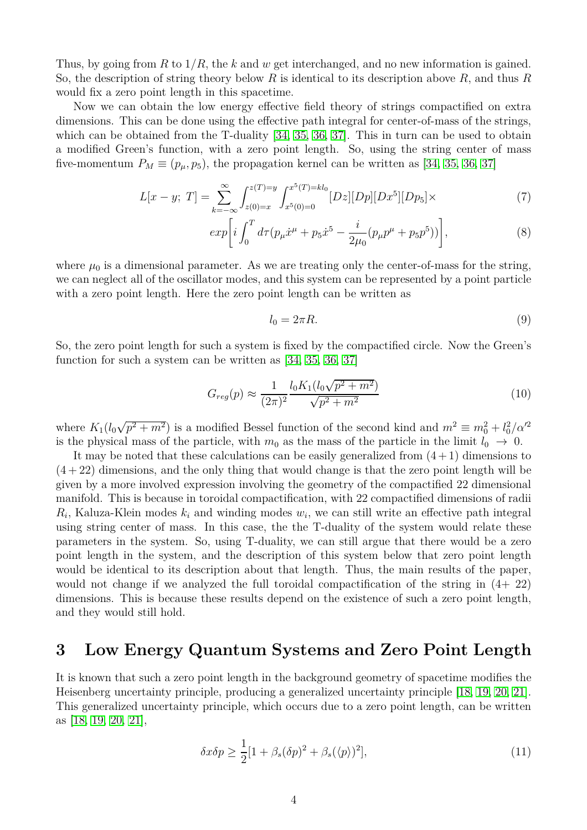Thus, by going from *R* to 1*/R*, the *k* and *w* get interchanged, and no new information is gained. So, the description of string theory below *R* is identical to its description above *R*, and thus *R* would fix a zero point length in this spacetime.

Now we can obtain the low energy effective field theory of strings compactified on extra dimensions. This can be done using the effective path integral for center-of-mass of the strings, which can be obtained from the T-duality [\[34,](#page-12-17) [35,](#page-12-18) [36,](#page-12-19) [37\]](#page-12-20). This in turn can be used to obtain a modified Green's function, with a zero point length. So, using the string center of mass five-momentum  $P_M \equiv (p_\mu, p_5)$ , the propagation kernel can be written as [\[34,](#page-12-17) [35,](#page-12-18) [36,](#page-12-19) [37\]](#page-12-20)

$$
L[x - y; T] = \sum_{k = -\infty}^{\infty} \int_{z(0) = x}^{z(T) = y} \int_{x^5(0) = 0}^{x^5(T) = kl_0} [Dz][Dp][Dx^5][Dp_5] \times
$$
 (7)

$$
exp\bigg[i\int_0^T d\tau (p_\mu \dot{x}^\mu + p_5 \dot{x}^5 - \frac{i}{2\mu_0}(p_\mu p^\mu + p_5 p^5))\bigg],\tag{8}
$$

where  $\mu_0$  is a dimensional parameter. As we are treating only the center-of-mass for the string, we can neglect all of the oscillator modes, and this system can be represented by a point particle with a zero point length. Here the zero point length can be written as

$$
l_0 = 2\pi R.\t\t(9)
$$

So, the zero point length for such a system is fixed by the compactified circle. Now the Green's function for such a system can be written as  $[34, 35, 36, 37]$  $[34, 35, 36, 37]$  $[34, 35, 36, 37]$  $[34, 35, 36, 37]$ 

$$
G_{reg}(p) \approx \frac{1}{(2\pi)^2} \frac{l_0 K_1 (l_0 \sqrt{p^2 + m^2})}{\sqrt{p^2 + m^2}}
$$
\n(10)

where  $K_1(l_0\sqrt{p^2+m^2})$  is a modified Bessel function of the second kind and  $m^2 \equiv m_0^2 + l_0^2/\alpha'^2$ is the physical mass of the particle, with  $m_0$  as the mass of the particle in the limit  $l_0 \rightarrow 0$ .

It may be noted that these calculations can be easily generalized from  $(4+1)$  dimensions to  $(4+22)$  dimensions, and the only thing that would change is that the zero point length will be given by a more involved expression involving the geometry of the compactified 22 dimensional manifold. This is because in toroidal compactification, with 22 compactified dimensions of radii  $R_i$ , Kaluza-Klein modes  $k_i$  and winding modes  $w_i$ , we can still write an effective path integral using string center of mass. In this case, the the T-duality of the system would relate these parameters in the system. So, using T-duality, we can still argue that there would be a zero point length in the system, and the description of this system below that zero point length would be identical to its description about that length. Thus, the main results of the paper, would not change if we analyzed the full toroidal compactification of the string in (4+ 22) dimensions. This is because these results depend on the existence of such a zero point length, and they would still hold.

#### **3 Low Energy Quantum Systems and Zero Point Length**

It is known that such a zero point length in the background geometry of spacetime modifies the Heisenberg uncertainty principle, producing a generalized uncertainty principle [\[18,](#page-12-1) [19,](#page-12-2) [20,](#page-12-3) [21\]](#page-12-4). This generalized uncertainty principle, which occurs due to a zero point length, can be written as [\[18,](#page-12-1) [19,](#page-12-2) [20,](#page-12-3) [21\]](#page-12-4),

$$
\delta x \delta p \ge \frac{1}{2} [1 + \beta_s(\delta p)^2 + \beta_s(\langle p \rangle)^2],\tag{11}
$$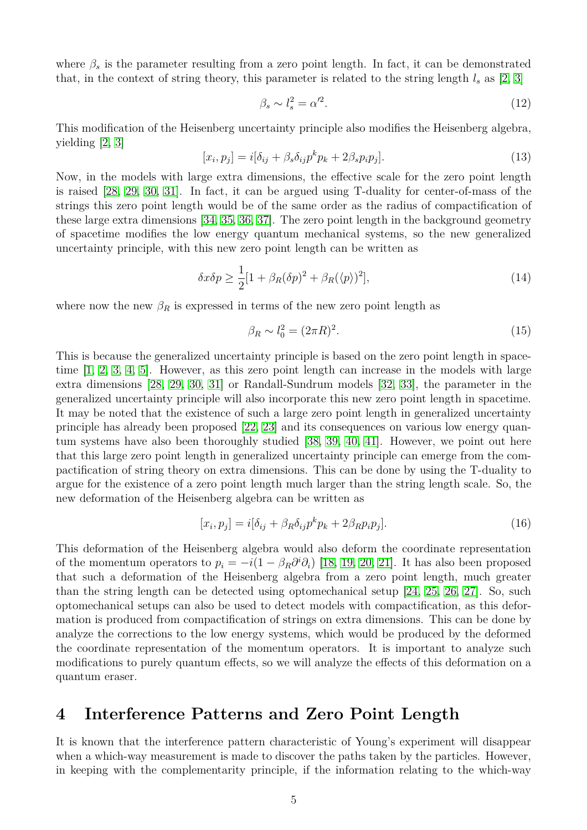where  $\beta_s$  is the parameter resulting from a zero point length. In fact, it can be demonstrated that, in the context of string theory, this parameter is related to the string length  $l_s$  as [\[2,](#page-11-1) [3\]](#page-11-2)

$$
\beta_s \sim l_s^2 = \alpha'^2. \tag{12}
$$

This modification of the Heisenberg uncertainty principle also modifies the Heisenberg algebra, yielding [\[2,](#page-11-1) [3\]](#page-11-2)

$$
[x_i, p_j] = i[\delta_{ij} + \beta_s \delta_{ij} p^k p_k + 2\beta_s p_i p_j].
$$
\n(13)

Now, in the models with large extra dimensions, the effective scale for the zero point length is raised [\[28,](#page-12-11) [29,](#page-12-12) [30,](#page-12-13) [31\]](#page-12-14). In fact, it can be argued using T-duality for center-of-mass of the strings this zero point length would be of the same order as the radius of compactification of these large extra dimensions [\[34,](#page-12-17) [35,](#page-12-18) [36,](#page-12-19) [37\]](#page-12-20). The zero point length in the background geometry of spacetime modifies the low energy quantum mechanical systems, so the new generalized uncertainty principle, with this new zero point length can be written as

$$
\delta x \delta p \ge \frac{1}{2} [1 + \beta_R(\delta p)^2 + \beta_R(\langle p \rangle)^2],\tag{14}
$$

where now the new  $\beta_R$  is expressed in terms of the new zero point length as

$$
\beta_R \sim l_0^2 = (2\pi R)^2. \tag{15}
$$

This is because the generalized uncertainty principle is based on the zero point length in spacetime [\[1,](#page-11-0) [2,](#page-11-1) [3,](#page-11-2) [4,](#page-11-3) [5\]](#page-11-4). However, as this zero point length can increase in the models with large extra dimensions [\[28,](#page-12-11) [29,](#page-12-12) [30,](#page-12-13) [31\]](#page-12-14) or Randall-Sundrum models [\[32,](#page-12-15) [33\]](#page-12-16), the parameter in the generalized uncertainty principle will also incorporate this new zero point length in spacetime. It may be noted that the existence of such a large zero point length in generalized uncertainty principle has already been proposed [\[22,](#page-12-5) [23\]](#page-12-6) and its consequences on various low energy quantum systems have also been thoroughly studied [\[38,](#page-12-21) [39,](#page-12-22) [40,](#page-12-23) [41\]](#page-12-24). However, we point out here that this large zero point length in generalized uncertainty principle can emerge from the compactification of string theory on extra dimensions. This can be done by using the T-duality to argue for the existence of a zero point length much larger than the string length scale. So, the new deformation of the Heisenberg algebra can be written as

$$
[x_i, p_j] = i[\delta_{ij} + \beta_R \delta_{ij} p^k p_k + 2\beta_R p_i p_j].
$$
\n(16)

This deformation of the Heisenberg algebra would also deform the coordinate representation of the momentum operators to  $p_i = -i(1 - \beta_R \partial^i \partial_i)$  [\[18,](#page-12-1) [19,](#page-12-2) [20,](#page-12-3) [21\]](#page-12-4). It has also been proposed that such a deformation of the Heisenberg algebra from a zero point length, much greater than the string length can be detected using optomechanical setup [\[24,](#page-12-7) [25,](#page-12-8) [26,](#page-12-9) [27\]](#page-12-10). So, such optomechanical setups can also be used to detect models with compactification, as this deformation is produced from compactification of strings on extra dimensions. This can be done by analyze the corrections to the low energy systems, which would be produced by the deformed the coordinate representation of the momentum operators. It is important to analyze such modifications to purely quantum effects, so we will analyze the effects of this deformation on a quantum eraser.

## **4 Interference Patterns and Zero Point Length**

It is known that the interference pattern characteristic of Young's experiment will disappear when a which-way measurement is made to discover the paths taken by the particles. However, in keeping with the complementarity principle, if the information relating to the which-way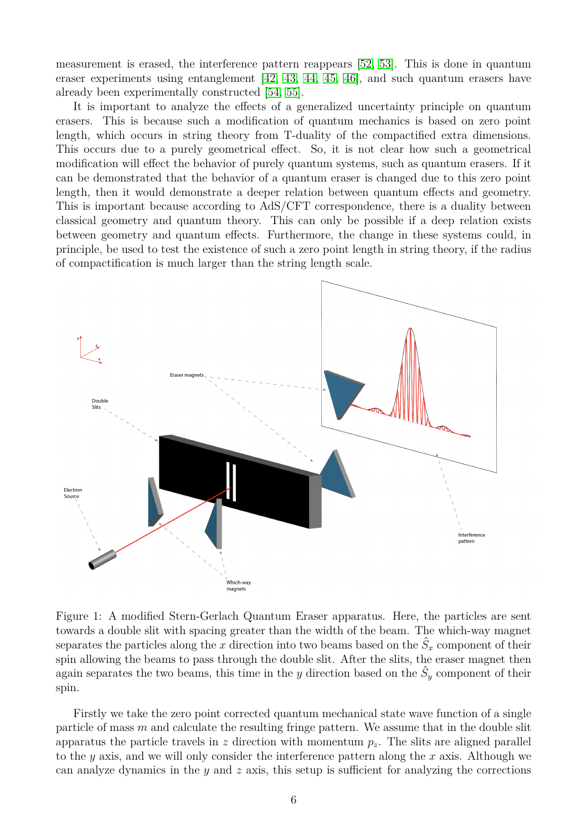measurement is erased, the interference pattern reappears [\[52,](#page-13-5) [53\]](#page-13-6). This is done in quantum eraser experiments using entanglement [\[42,](#page-12-25) [43,](#page-12-26) [44,](#page-13-0) [45,](#page-13-1) [46\]](#page-13-7), and such quantum erasers have already been experimentally constructed [\[54,](#page-13-8) [55\]](#page-13-9).

It is important to analyze the effects of a generalized uncertainty principle on quantum erasers. This is because such a modification of quantum mechanics is based on zero point length, which occurs in string theory from T-duality of the compactified extra dimensions. This occurs due to a purely geometrical effect. So, it is not clear how such a geometrical modification will effect the behavior of purely quantum systems, such as quantum erasers. If it can be demonstrated that the behavior of a quantum eraser is changed due to this zero point length, then it would demonstrate a deeper relation between quantum effects and geometry. This is important because according to AdS/CFT correspondence, there is a duality between classical geometry and quantum theory. This can only be possible if a deep relation exists between geometry and quantum effects. Furthermore, the change in these systems could, in principle, be used to test the existence of such a zero point length in string theory, if the radius of compactification is much larger than the string length scale.



<span id="page-5-0"></span>Figure 1: A modified Stern-Gerlach Quantum Eraser apparatus. Here, the particles are sent towards a double slit with spacing greater than the width of the beam. The which-way magnet separates the particles along the  $x$  direction into two beams based on the  $\hat{S}_x$  component of their spin allowing the beams to pass through the double slit. After the slits, the eraser magnet then again separates the two beams, this time in the  $y$  direction based on the  $\hat{S}_y$  component of their spin.

Firstly we take the zero point corrected quantum mechanical state wave function of a single particle of mass *m* and calculate the resulting fringe pattern. We assume that in the double slit apparatus the particle travels in  $z$  direction with momentum  $p_z$ . The slits are aligned parallel to the *y* axis, and we will only consider the interference pattern along the *x* axis. Although we can analyze dynamics in the *y* and *z* axis, this setup is sufficient for analyzing the corrections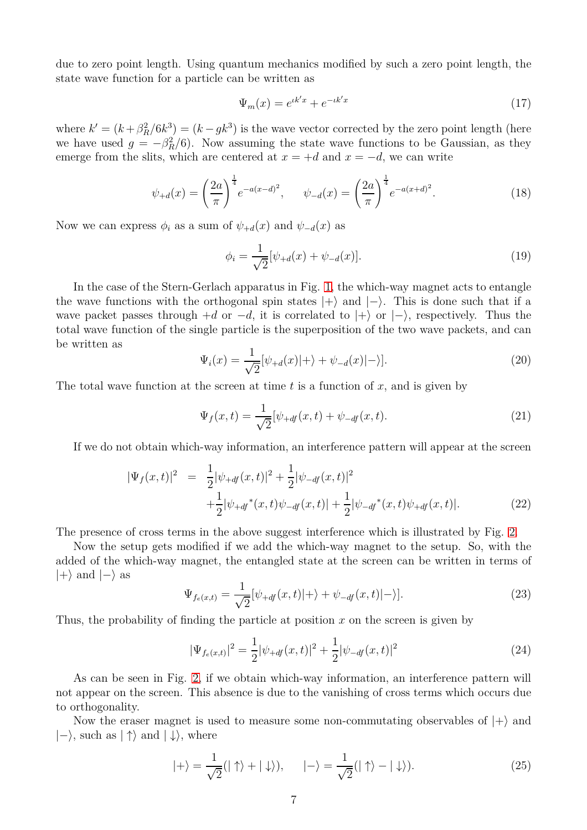due to zero point length. Using quantum mechanics modified by such a zero point length, the state wave function for a particle can be written as

$$
\Psi_m(x) = e^{ik'x} + e^{-ik'x} \tag{17}
$$

where  $k' = (k + \beta_R^2/6k^3) = (k - g k^3)$  is the wave vector corrected by the zero point length (here we have used  $g = -\beta_R^2/6$ ). Now assuming the state wave functions to be Gaussian, as they emerge from the slits, which are centered at  $x = +d$  and  $x = -d$ , we can write

$$
\psi_{+d}(x) = \left(\frac{2a}{\pi}\right)^{\frac{1}{4}} e^{-a(x-d)^2}, \qquad \psi_{-d}(x) = \left(\frac{2a}{\pi}\right)^{\frac{1}{4}} e^{-a(x+d)^2}.
$$
\n(18)

Now we can express  $\phi_i$  as a sum of  $\psi_{+d}(x)$  and  $\psi_{-d}(x)$  as

$$
\phi_i = \frac{1}{\sqrt{2}} [\psi_{+d}(x) + \psi_{-d}(x)]. \tag{19}
$$

In the case of the Stern-Gerlach apparatus in Fig. [1,](#page-5-0) the which-way magnet acts to entangle the wave functions with the orthogonal spin states  $|+\rangle$  and  $|-\rangle$ . This is done such that if a wave packet passes through  $+d$  or  $-d$ , it is correlated to  $|+\rangle$  or  $|-\rangle$ , respectively. Thus the total wave function of the single particle is the superposition of the two wave packets, and can be written as

$$
\Psi_i(x) = \frac{1}{\sqrt{2}} [\psi_{+d}(x)|+\rangle + \psi_{-d}(x)|-\rangle].
$$
\n(20)

The total wave function at the screen at time *t* is a function of *x*, and is given by

$$
\Psi_f(x,t) = \frac{1}{\sqrt{2}} [\psi_{+df}(x,t) + \psi_{-df}(x,t). \tag{21}
$$

If we do not obtain which-way information, an interference pattern will appear at the screen

$$
|\Psi_f(x,t)|^2 = \frac{1}{2} |\psi_{+df}(x,t)|^2 + \frac{1}{2} |\psi_{-df}(x,t)|^2
$$
  
 
$$
+ \frac{1}{2} |\psi_{+df}^*(x,t)\psi_{-df}(x,t)| + \frac{1}{2} |\psi_{-df}^*(x,t)\psi_{+df}(x,t)|.
$$
 (22)

The presence of cross terms in the above suggest interference which is illustrated by Fig. [2.](#page-7-0)

Now the setup gets modified if we add the which-way magnet to the setup. So, with the added of the which-way magnet, the entangled state at the screen can be written in terms of  $|+\rangle$  and  $|-\rangle$  as

$$
\Psi_{f_e(x,t)} = \frac{1}{\sqrt{2}} [\psi_{+df}(x,t)|+\rangle + \psi_{-df}(x,t)|-\rangle].
$$
\n(23)

Thus, the probability of finding the particle at position *x* on the screen is given by

$$
|\Psi_{f_e(x,t)}|^2 = \frac{1}{2} |\psi_{+df}(x,t)|^2 + \frac{1}{2} |\psi_{-df}(x,t)|^2
$$
\n(24)

As can be seen in Fig. [2,](#page-7-0) if we obtain which-way information, an interference pattern will not appear on the screen. This absence is due to the vanishing of cross terms which occurs due to orthogonality.

Now the eraser magnet is used to measure some non-commutating observables of  $|+\rangle$  and  $|-\rangle$ , such as  $|\uparrow\rangle$  and  $|\downarrow\rangle$ , where

$$
|+\rangle = \frac{1}{\sqrt{2}}(|\uparrow\rangle + |\downarrow\rangle), \qquad |-\rangle = \frac{1}{\sqrt{2}}(|\uparrow\rangle - |\downarrow\rangle). \tag{25}
$$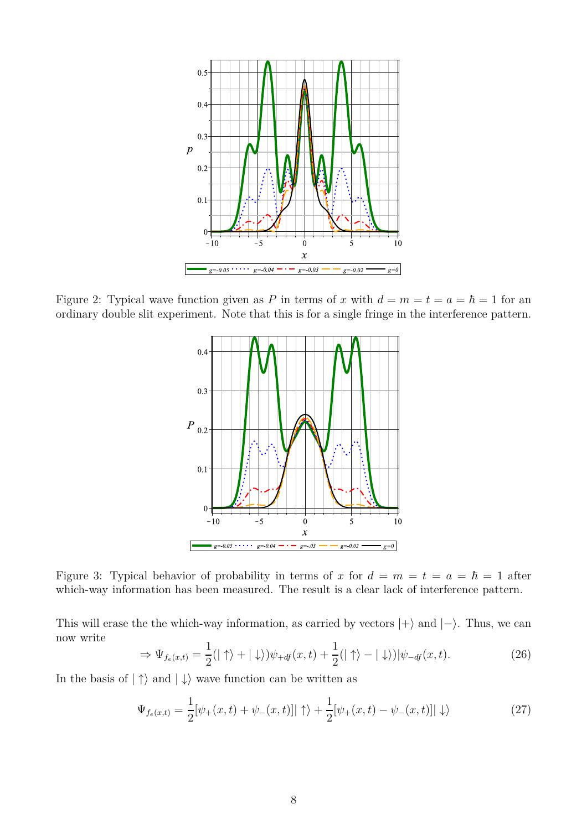

<span id="page-7-0"></span>Figure 2: Typical wave function given as P in terms of x with  $d = m = t = a = \hbar = 1$  for an ordinary double slit experiment. Note that this is for a single fringe in the interference pattern.



Figure 3: Typical behavior of probability in terms of x for  $d = m = t = a = \hbar = 1$  after which-way information has been measured. The result is a clear lack of interference pattern.

This will erase the the which-way information, as carried by vectors  $|+\rangle$  and  $|-\rangle$ . Thus, we can now write

$$
\Rightarrow \Psi_{f_e(x,t)} = \frac{1}{2}(|\uparrow\rangle + |\downarrow\rangle)\psi_{+df}(x,t) + \frac{1}{2}(|\uparrow\rangle - |\downarrow\rangle)|\psi_{-df}(x,t). \tag{26}
$$

In the basis of  $|\uparrow\rangle$  and  $|\downarrow\rangle$  wave function can be written as

$$
\Psi_{f_e(x,t)} = \frac{1}{2} [\psi_+(x,t) + \psi_-(x,t)] |\uparrow\rangle + \frac{1}{2} [\psi_+(x,t) - \psi_-(x,t)] |\downarrow\rangle \tag{27}
$$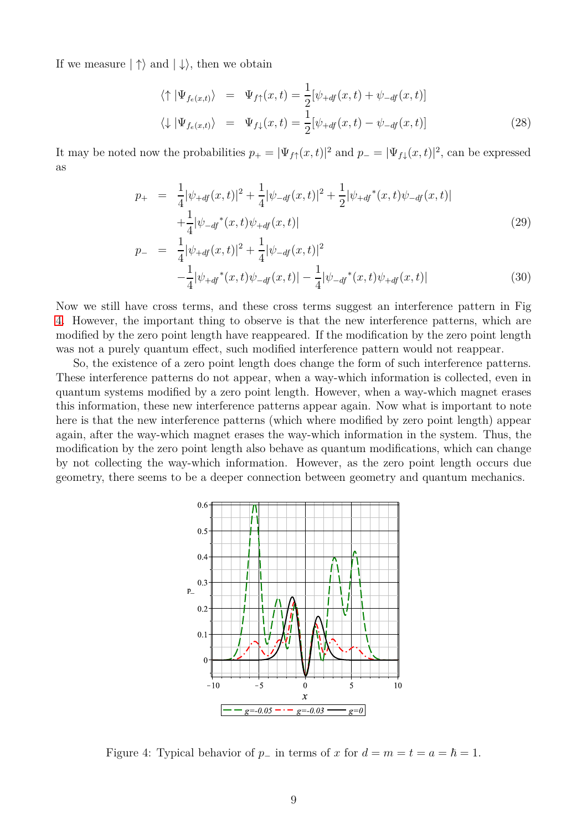If we measure  $|\uparrow\rangle$  and  $|\downarrow\rangle$ , then we obtain

$$
\langle \uparrow | \Psi_{f_e(x,t)} \rangle = \Psi_{f\uparrow}(x,t) = \frac{1}{2} [\psi_{+df}(x,t) + \psi_{-df}(x,t)]
$$
  

$$
\langle \downarrow | \Psi_{f_e(x,t)} \rangle = \Psi_{f\downarrow}(x,t) = \frac{1}{2} [\psi_{+df}(x,t) - \psi_{-df}(x,t)]
$$
(28)

It may be noted now the probabilities  $p_+ = |\Psi_{f\uparrow}(x,t)|^2$  and  $p_- = |\Psi_{f\downarrow}(x,t)|^2$ , can be expressed as

$$
p_{+} = \frac{1}{4} |\psi_{+df}(x,t)|^{2} + \frac{1}{4} |\psi_{-df}(x,t)|^{2} + \frac{1}{2} |\psi_{+df}^{*}(x,t)\psi_{-df}(x,t)| + \frac{1}{4} |\psi_{-df}^{*}(x,t)\psi_{+df}(x,t)|
$$
\n(29)

$$
p_{-} = \frac{1}{4} |\psi_{+df}(x,t)|^{2} + \frac{1}{4} |\psi_{-df}(x,t)|^{2}
$$

$$
-\frac{1}{4} |\psi_{+df}^{*}(x,t)\psi_{-df}(x,t)| - \frac{1}{4} |\psi_{-df}^{*}(x,t)\psi_{+df}(x,t)| \qquad (30)
$$

Now we still have cross terms, and these cross terms suggest an interference pattern in Fig [4.](#page-8-0) However, the important thing to observe is that the new interference patterns, which are modified by the zero point length have reappeared. If the modification by the zero point length was not a purely quantum effect, such modified interference pattern would not reappear.

So, the existence of a zero point length does change the form of such interference patterns. These interference patterns do not appear, when a way-which information is collected, even in quantum systems modified by a zero point length. However, when a way-which magnet erases this information, these new interference patterns appear again. Now what is important to note here is that the new interference patterns (which where modified by zero point length) appear again, after the way-which magnet erases the way-which information in the system. Thus, the modification by the zero point length also behave as quantum modifications, which can change by not collecting the way-which information. However, as the zero point length occurs due geometry, there seems to be a deeper connection between geometry and quantum mechanics.



<span id="page-8-0"></span>Figure 4: Typical behavior of  $p_$  in terms of  $x$  for  $d = m = t = a = \hbar = 1$ .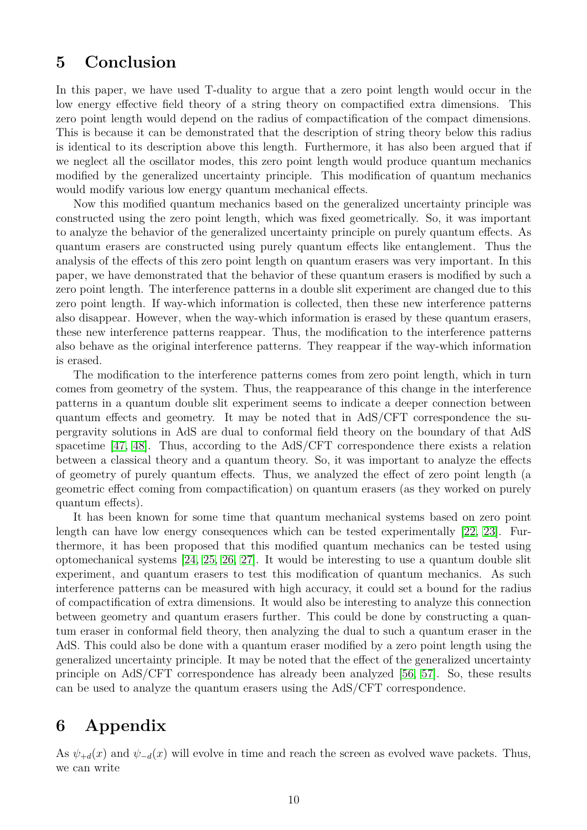### **5 Conclusion**

In this paper, we have used T-duality to argue that a zero point length would occur in the low energy effective field theory of a string theory on compactified extra dimensions. This zero point length would depend on the radius of compactification of the compact dimensions. This is because it can be demonstrated that the description of string theory below this radius is identical to its description above this length. Furthermore, it has also been argued that if we neglect all the oscillator modes, this zero point length would produce quantum mechanics modified by the generalized uncertainty principle. This modification of quantum mechanics would modify various low energy quantum mechanical effects.

Now this modified quantum mechanics based on the generalized uncertainty principle was constructed using the zero point length, which was fixed geometrically. So, it was important to analyze the behavior of the generalized uncertainty principle on purely quantum effects. As quantum erasers are constructed using purely quantum effects like entanglement. Thus the analysis of the effects of this zero point length on quantum erasers was very important. In this paper, we have demonstrated that the behavior of these quantum erasers is modified by such a zero point length. The interference patterns in a double slit experiment are changed due to this zero point length. If way-which information is collected, then these new interference patterns also disappear. However, when the way-which information is erased by these quantum erasers, these new interference patterns reappear. Thus, the modification to the interference patterns also behave as the original interference patterns. They reappear if the way-which information is erased.

The modification to the interference patterns comes from zero point length, which in turn comes from geometry of the system. Thus, the reappearance of this change in the interference patterns in a quantum double slit experiment seems to indicate a deeper connection between quantum effects and geometry. It may be noted that in AdS/CFT correspondence the supergravity solutions in AdS are dual to conformal field theory on the boundary of that AdS spacetime [47, 48]. Thus, according to the AdS/CFT correspondence there exists a relation between a classical theory and a quantum theory. So, it was important to analyze the effects of geometry of purely quantum effects. Thus, we analyzed the effect of zero point length (a geometric effect coming from compactification) on quantum erasers (as they worked on purely quantum effects).

It has been known for some time that quantum mechanical systems based on zero point length can have low energy consequences which can be tested experimentally [\[22,](#page-12-5) [23\]](#page-12-6). Furthermore, it has been proposed that this modified quantum mechanics can be tested using optomechanical systems [\[24,](#page-12-7) [25,](#page-12-8) [26,](#page-12-9) [27\]](#page-12-10). It would be interesting to use a quantum double slit experiment, and quantum erasers to test this modification of quantum mechanics. As such interference patterns can be measured with high accuracy, it could set a bound for the radius of compactification of extra dimensions. It would also be interesting to analyze this connection between geometry and quantum erasers further. This could be done by constructing a quantum eraser in conformal field theory, then analyzing the dual to such a quantum eraser in the AdS. This could also be done with a quantum eraser modified by a zero point length using the generalized uncertainty principle. It may be noted that the effect of the generalized uncertainty principle on AdS/CFT correspondence has already been analyzed [\[56,](#page-13-10) [57\]](#page-13-11). So, these results can be used to analyze the quantum erasers using the AdS/CFT correspondence.

## **6 Appendix**

As  $\psi_{+d}(x)$  and  $\psi_{-d}(x)$  will evolve in time and reach the screen as evolved wave packets. Thus, we can write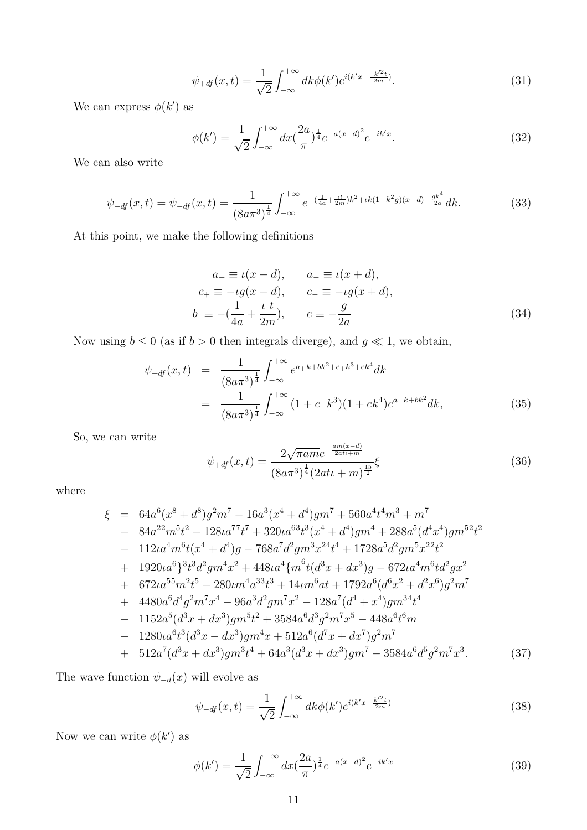$$
\psi_{+df}(x,t) = \frac{1}{\sqrt{2}} \int_{-\infty}^{+\infty} dk \phi(k') e^{i(k'x - \frac{k'^2 t}{2m})}.
$$
\n(31)

We can express  $\phi(k')$  as

$$
\phi(k') = \frac{1}{\sqrt{2}} \int_{-\infty}^{+\infty} dx \left(\frac{2a}{\pi}\right)^{\frac{1}{4}} e^{-a(x-d)^2} e^{-ik'x}.
$$
\n(32)

We can also write

$$
\psi_{-df}(x,t) = \psi_{-df}(x,t) = \frac{1}{(8a\pi^3)^{\frac{1}{4}}} \int_{-\infty}^{+\infty} e^{-(\frac{1}{4a} + \frac{tt}{2m})k^2 + \iota k(1-k^2g)(x-d) - \frac{gk^4}{2a}} dk.
$$
\n(33)

At this point, we make the following definitions

$$
a_{+} \equiv \iota(x - d), \qquad a_{-} \equiv \iota(x + d),
$$
  
\n
$$
c_{+} \equiv -\iota g(x - d), \qquad c_{-} \equiv -\iota g(x + d),
$$
  
\n
$$
b \equiv -(\frac{1}{4a} + \frac{\iota t}{2m}), \qquad e \equiv -\frac{g}{2a}
$$
\n(34)

Now using  $b \le 0$  (as if  $b > 0$  then integrals diverge), and  $g \ll 1$ , we obtain,

$$
\psi_{+df}(x,t) = \frac{1}{(8a\pi^3)^{\frac{1}{4}}} \int_{-\infty}^{+\infty} e^{a+k+bk^2+c+k^3+ek^4} dk
$$
  

$$
= \frac{1}{(8a\pi^3)^{\frac{1}{4}}} \int_{-\infty}^{+\infty} (1+c_+k^3)(1+ek^4)e^{a+k+bk^2} dk,
$$
 (35)

So, we can write

$$
\psi_{+df}(x,t) = \frac{2\sqrt{\pi am}e^{-\frac{am(x-d)}{2att+m}}}{(8a\pi^3)^{\frac{1}{4}}(2att+m)^{\frac{15}{2}}}\xi
$$
\n(36)

where

$$
\xi = 64a^{6}(x^{8} + d^{8})g^{2}m^{7} - 16a^{3}(x^{4} + d^{4})gm^{7} + 560a^{4}t^{4}m^{3} + m^{7}
$$
\n
$$
- 84a^{22}m^{5}t^{2} - 128a^{77}t^{7} + 320a^{63}t^{3}(x^{4} + d^{4})gm^{4} + 288a^{5}(d^{4}x^{4})gm^{52}t^{2}
$$
\n
$$
- 112a^{4}m^{6}t(x^{4} + d^{4})g - 768a^{7}d^{2}gm^{3}x^{24}t^{4} + 1728a^{5}d^{2}gm^{5}x^{22}t^{2}
$$
\n
$$
+ 1920a^{6}\right\}^{3}t^{3}d^{2}gm^{4}x^{2} + 448a^{4}\left\{m^{6}t(d^{3}x + dx^{3})g - 672a^{4}m^{6}td^{2}gx^{2}
$$
\n
$$
+ 672a^{55}m^{2}t^{5} - 280cm^{4}a^{33}t^{3} + 14m^{6}at + 1792a^{6}(d^{6}x^{2} + d^{2}x^{6})g^{2}m^{7}
$$
\n
$$
+ 4480a^{6}d^{4}g^{2}m^{7}x^{4} - 96a^{3}d^{2}gm^{7}x^{2} - 128a^{7}(d^{4} + x^{4})gm^{34}t^{4}
$$
\n
$$
- 1152a^{5}(d^{3}x + dx^{3})gm^{5}t^{2} + 3584a^{6}d^{3}g^{2}m^{7}x^{5} - 448a^{6}t^{6}m
$$
\n
$$
- 1280a^{6}t^{3}(d^{3}x - dx^{3})gm^{4}x + 512a^{6}(d^{7}x + dx^{7})g^{2}m^{7}
$$
\n
$$
+ 512a^{7}(d^{3}x + dx^{3})gm^{3}t^{4} + 64a^{3}(d^{3}x + dx^{3})gm^{7} - 3584a^{6}d^{5}g^{2}m^{7}x^{3}.
$$
\n(37)

The wave function  $\psi_{-d}(x)$  will evolve as

$$
\psi_{-df}(x,t) = \frac{1}{\sqrt{2}} \int_{-\infty}^{+\infty} dk \phi(k') e^{i(k'x - \frac{k'^2 t}{2m})}
$$
(38)

Now we can write  $\phi(k')$  as

$$
\phi(k') = \frac{1}{\sqrt{2}} \int_{-\infty}^{+\infty} dx \left(\frac{2a}{\pi}\right)^{\frac{1}{4}} e^{-a(x+d)^2} e^{-ik'x} \tag{39}
$$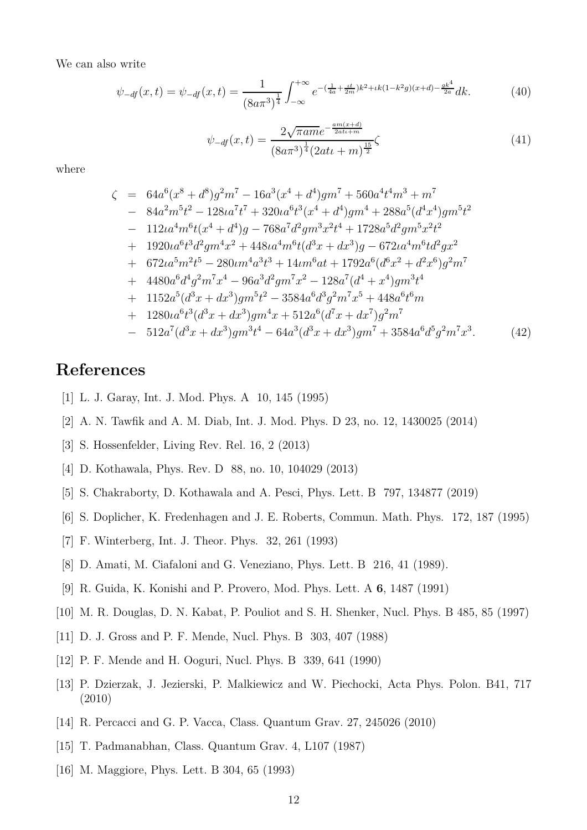We can also write

$$
\psi_{-df}(x,t) = \psi_{-df}(x,t) = \frac{1}{(8a\pi^3)^{\frac{1}{4}}} \int_{-\infty}^{+\infty} e^{-(\frac{1}{4a} + \frac{\iota t}{2m})k^2 + \iota k(1-k^2g)(x+d) - \frac{g k^4}{2a}} dk.
$$
 (40)

$$
\psi_{-df}(x,t) = \frac{2\sqrt{\pi am}e^{-\frac{am(x+d)}{2atu+m}}}{(8a\pi^3)^{\frac{1}{4}}(2atu+m)^{\frac{15}{2}}} \zeta
$$
\n(41)

where

$$
\zeta = 64a^{6}(x^{8} + d^{8})g^{2}m^{7} - 16a^{3}(x^{4} + d^{4})gm^{7} + 560a^{4}t^{4}m^{3} + m^{7}
$$
\n
$$
- 84a^{2}m^{5}t^{2} - 128\iota a^{7}t^{7} + 320\iota a^{6}t^{3}(x^{4} + d^{4})gm^{4} + 288a^{5}(d^{4}x^{4})gm^{5}t^{2}
$$
\n
$$
- 112\iota a^{4}m^{6}t(x^{4} + d^{4})g - 768a^{7}d^{2}gm^{3}x^{2}t^{4} + 1728a^{5}d^{2}gm^{5}x^{2}t^{2}
$$
\n
$$
+ 1920\iota a^{6}t^{3}d^{2}gm^{4}x^{2} + 448\iota a^{4}m^{6}t(d^{3}x + dx^{3})g - 672\iota a^{4}m^{6}t d^{2}gx^{2}
$$
\n
$$
+ 672\iota a^{5}m^{2}t^{5} - 280\iota m^{4}a^{3}t^{3} + 14\iota m^{6}at + 1792a^{6}(d^{6}x^{2} + d^{2}x^{6})g^{2}m^{7}
$$
\n
$$
+ 4480a^{6}d^{4}g^{2}m^{7}x^{4} - 96a^{3}d^{2}gm^{7}x^{2} - 128a^{7}(d^{4} + x^{4})gm^{3}t^{4}
$$
\n
$$
+ 1152a^{5}(d^{3}x + dx^{3})gm^{5}t^{2} - 3584a^{6}d^{3}g^{2}m^{7}x^{5} + 448a^{6}t^{6}m
$$
\n
$$
+ 1280\iota a^{6}t^{3}(d^{3}x + dx^{3})gm^{4}x + 512a^{6}(d^{7}x + dx^{7})g^{2}m^{7}
$$
\n
$$
- 512a^{7}(d^{3}x + dx^{3})gm^{3}t^{4} - 64a^{3}(d^{3}x + dx^{3})gm^{7} + 3584a^{6}d^{5}g^{2}m^{7}x^{3}.
$$
\n(42)

# <span id="page-11-0"></span>**References**

- <span id="page-11-1"></span>[1] L. J. Garay, Int. J. Mod. Phys. A 10, 145 (1995)
- <span id="page-11-2"></span>[2] A. N. Tawfik and A. M. Diab, Int. J. Mod. Phys. D 23, no. 12, 1430025 (2014)
- <span id="page-11-3"></span>[3] S. Hossenfelder, Living Rev. Rel. 16, 2 (2013)
- <span id="page-11-4"></span>[4] D. Kothawala, Phys. Rev. D 88, no. 10, 104029 (2013)
- <span id="page-11-5"></span>[5] S. Chakraborty, D. Kothawala and A. Pesci, Phys. Lett. B 797, 134877 (2019)
- <span id="page-11-6"></span>[6] S. Doplicher, K. Fredenhagen and J. E. Roberts, Commun. Math. Phys. 172, 187 (1995)
- <span id="page-11-7"></span>[7] F. Winterberg, Int. J. Theor. Phys. 32, 261 (1993)
- <span id="page-11-8"></span>[8] D. Amati, M. Ciafaloni and G. Veneziano, Phys. Lett. B 216, 41 (1989).
- <span id="page-11-9"></span>[9] R. Guida, K. Konishi and P. Provero, Mod. Phys. Lett. A **6**, 1487 (1991)
- <span id="page-11-10"></span>[10] M. R. Douglas, D. N. Kabat, P. Pouliot and S. H. Shenker, Nucl. Phys. B 485, 85 (1997)
- <span id="page-11-11"></span>[11] D. J. Gross and P. F. Mende, Nucl. Phys. B 303, 407 (1988)
- <span id="page-11-12"></span>[12] P. F. Mende and H. Ooguri, Nucl. Phys. B 339, 641 (1990)
- [13] P. Dzierzak, J. Jezierski, P. Malkiewicz and W. Piechocki, Acta Phys. Polon. B41, 717 (2010)
- <span id="page-11-14"></span><span id="page-11-13"></span>[14] R. Percacci and G. P. Vacca, Class. Quantum Grav. 27, 245026 (2010)
- <span id="page-11-15"></span>[15] T. Padmanabhan, Class. Quantum Grav. 4, L107 (1987)
- [16] M. Maggiore, Phys. Lett. B 304, 65 (1993)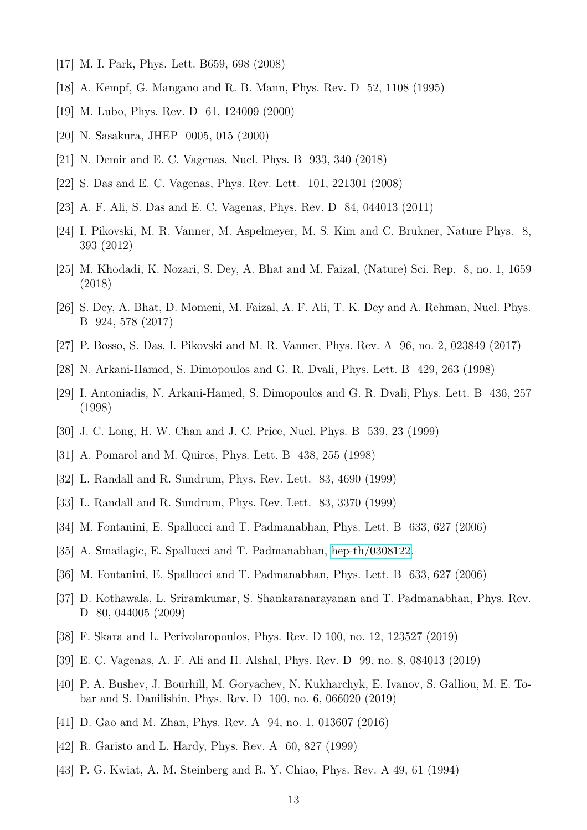- <span id="page-12-1"></span><span id="page-12-0"></span>[17] M. I. Park, Phys. Lett. B659, 698 (2008)
- <span id="page-12-2"></span>[18] A. Kempf, G. Mangano and R. B. Mann, Phys. Rev. D 52, 1108 (1995)
- <span id="page-12-3"></span>[19] M. Lubo, Phys. Rev. D 61, 124009 (2000)
- <span id="page-12-4"></span>[20] N. Sasakura, JHEP 0005, 015 (2000)
- <span id="page-12-5"></span>[21] N. Demir and E. C. Vagenas, Nucl. Phys. B 933, 340 (2018)
- <span id="page-12-6"></span>[22] S. Das and E. C. Vagenas, Phys. Rev. Lett. 101, 221301 (2008)
- <span id="page-12-7"></span>[23] A. F. Ali, S. Das and E. C. Vagenas, Phys. Rev. D 84, 044013 (2011)
- <span id="page-12-8"></span>[24] I. Pikovski, M. R. Vanner, M. Aspelmeyer, M. S. Kim and C. Brukner, Nature Phys. 8, 393 (2012)
- <span id="page-12-9"></span>[25] M. Khodadi, K. Nozari, S. Dey, A. Bhat and M. Faizal, (Nature) Sci. Rep. 8, no. 1, 1659 (2018)
- [26] S. Dey, A. Bhat, D. Momeni, M. Faizal, A. F. Ali, T. K. Dey and A. Rehman, Nucl. Phys. B 924, 578 (2017)
- <span id="page-12-11"></span><span id="page-12-10"></span>[27] P. Bosso, S. Das, I. Pikovski and M. R. Vanner, Phys. Rev. A 96, no. 2, 023849 (2017)
- <span id="page-12-12"></span>[28] N. Arkani-Hamed, S. Dimopoulos and G. R. Dvali, Phys. Lett. B 429, 263 (1998)
- [29] I. Antoniadis, N. Arkani-Hamed, S. Dimopoulos and G. R. Dvali, Phys. Lett. B 436, 257 (1998)
- <span id="page-12-14"></span><span id="page-12-13"></span>[30] J. C. Long, H. W. Chan and J. C. Price, Nucl. Phys. B 539, 23 (1999)
- <span id="page-12-15"></span>[31] A. Pomarol and M. Quiros, Phys. Lett. B 438, 255 (1998)
- <span id="page-12-16"></span>[32] L. Randall and R. Sundrum, Phys. Rev. Lett. 83, 4690 (1999)
- <span id="page-12-17"></span>[33] L. Randall and R. Sundrum, Phys. Rev. Lett. 83, 3370 (1999)
- <span id="page-12-18"></span>[34] M. Fontanini, E. Spallucci and T. Padmanabhan, Phys. Lett. B 633, 627 (2006)
- <span id="page-12-19"></span>[35] A. Smailagic, E. Spallucci and T. Padmanabhan, [hep-th/0308122.](http://arxiv.org/abs/hep-th/0308122)
- <span id="page-12-20"></span>[36] M. Fontanini, E. Spallucci and T. Padmanabhan, Phys. Lett. B 633, 627 (2006)
- [37] D. Kothawala, L. Sriramkumar, S. Shankaranarayanan and T. Padmanabhan, Phys. Rev. D 80, 044005 (2009)
- <span id="page-12-22"></span><span id="page-12-21"></span>[38] F. Skara and L. Perivolaropoulos, Phys. Rev. D 100, no. 12, 123527 (2019)
- <span id="page-12-23"></span>[39] E. C. Vagenas, A. F. Ali and H. Alshal, Phys. Rev. D 99, no. 8, 084013 (2019)
- [40] P. A. Bushev, J. Bourhill, M. Goryachev, N. Kukharchyk, E. Ivanov, S. Galliou, M. E. Tobar and S. Danilishin, Phys. Rev. D 100, no. 6, 066020 (2019)
- <span id="page-12-25"></span><span id="page-12-24"></span>[41] D. Gao and M. Zhan, Phys. Rev. A 94, no. 1, 013607 (2016)
- <span id="page-12-26"></span>[42] R. Garisto and L. Hardy, Phys. Rev. A 60, 827 (1999)
- [43] P. G. Kwiat, A. M. Steinberg and R. Y. Chiao, Phys. Rev. A 49, 61 (1994)